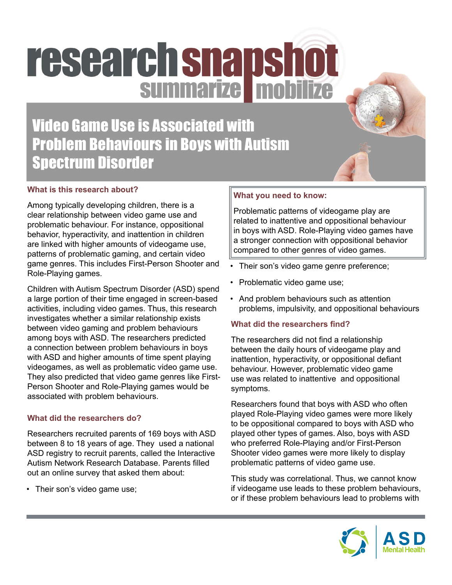# research snapshot

# Video Game Use is Associated with Problem Behaviours in Boys with Autism Spectrum Disorder

# **What is this research about?**

Among typically developing children, there is a clear relationship between video game use and problematic behaviour. For instance, oppositional behavior, hyperactivity, and inattention in children are linked with higher amounts of videogame use, patterns of problematic gaming, and certain video game genres. This includes First-Person Shooter and Role-Playing games.

Children with Autism Spectrum Disorder (ASD) spend a large portion of their time engaged in screen-based activities, including video games. Thus, this research investigates whether a similar relationship exists between video gaming and problem behaviours among boys with ASD. The researchers predicted a connection between problem behaviours in boys with ASD and higher amounts of time spent playing videogames, as well as problematic video game use. They also predicted that video game genres like First-Person Shooter and Role-Playing games would be associated with problem behaviours.

#### **What did the researchers do?**

Researchers recruited parents of 169 boys with ASD between 8 to 18 years of age. They used a national ASD registry to recruit parents, called the Interactive Autism Network Research Database. Parents filled out an online survey that asked them about:

• Their son's video game use;

# **What you need to know:**

Problematic patterns of videogame play are related to inattentive and oppositional behaviour in boys with ASD. Role-Playing video games have a stronger connection with oppositional behavior compared to other genres of video games.

- Their son's video game genre preference;
- Problematic video game use;
- And problem behaviours such as attention problems, impulsivity, and oppositional behaviours

# **What did the researchers find?**

The researchers did not find a relationship between the daily hours of videogame play and inattention, hyperactivity, or oppositional defiant behaviour. However, problematic video game use was related to inattentive and oppositional symptoms.

Researchers found that boys with ASD who often played Role-Playing video games were more likely to be oppositional compared to boys with ASD who played other types of games. Also, boys with ASD who preferred Role-Playing and/or First-Person Shooter video games were more likely to display problematic patterns of video game use.

This study was correlational. Thus, we cannot know if videogame use leads to these problem behaviours, or if these problem behaviours lead to problems with